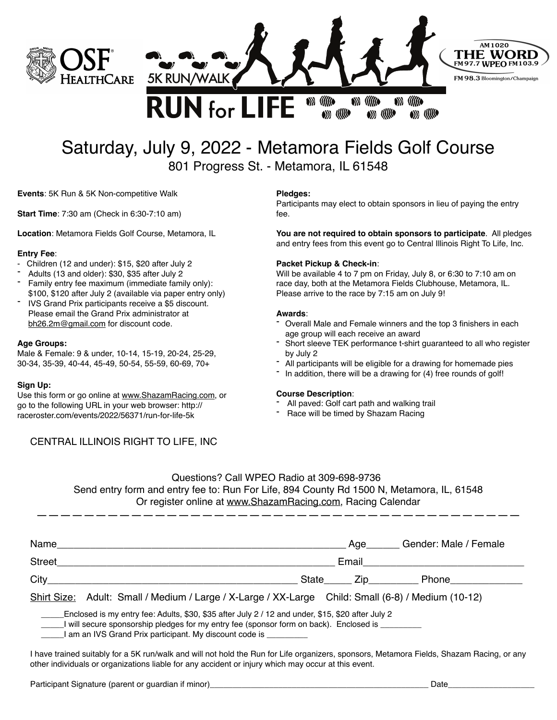



# Saturday, July 9, 2022 - Metamora Fields Golf Course 801 Progress St. - Metamora, IL 61548

**Events**: 5K Run & 5K Non-competitive Walk

**Start Time**: 7:30 am (Check in 6:30-7:10 am)

**Location**: Metamora Fields Golf Course, Metamora, IL

#### **Entry Fee**:

- Children (12 and under): \$15, \$20 after July 2
- Adults (13 and older): \$30, \$35 after July 2
- Family entry fee maximum (immediate family only): \$100, \$120 after July 2 (available via paper entry only)
- IVS Grand Prix participants receive a \$5 discount. Please email the Grand Prix administrator at [bh26.2m@gmail.com](mailto:bh26.2m@gmail.com) for discount code.

#### **Age Groups:**

Male & Female: 9 & under, 10-14, 15-19, 20-24, 25-29, 30-34, 35-39, 40-44, 45-49, 50-54, 55-59, 60-69, 70+

#### **Sign Up:**

Use this form or go online at [www.ShazamRacing.com](http://www.shazamracing.com), or go to the following URL in your web browser: http:// raceroster.com/events/2022/56371/run-for-life-5k

## CENTRAL ILLINOIS RIGHT TO LIFE, INC

#### **Pledges:**

Participants may elect to obtain sponsors in lieu of paying the entry fee.

 $\left(\frac{1}{2}\right)$ 

 $\left( \begin{array}{c} \mathbf{0} \\ \mathbf{0} \end{array} \right)$  (((((()

**You are not required to obtain sponsors to participate**. All pledges and entry fees from this event go to Central Illinois Right To Life, Inc.

#### **Packet Pickup & Check-in**:

Will be available 4 to 7 pm on Friday, July 8, or 6:30 to 7:10 am on race day, both at the Metamora Fields Clubhouse, Metamora, IL. Please arrive to the race by 7:15 am on July 9!

#### **Awards**:

- Overall Male and Female winners and the top 3 finishers in each age group will each receive an award
- Short sleeve TEK performance t-shirt guaranteed to all who register by July 2
- All participants will be eligible for a drawing for homemade pies
- In addition, there will be a drawing for (4) free rounds of golf!

#### **Course Description**:

- All paved: Golf cart path and walking trail
- Race will be timed by Shazam Racing

| Questions? Call WPEO Radio at 309-698-9736                                                |  |
|-------------------------------------------------------------------------------------------|--|
| Send entry form and entry fee to: Run For Life, 894 County Rd 1500 N, Metamora, IL, 61548 |  |
| Or register online at www.ShazamRacing.com, Racing Calendar                               |  |

—————————————————————————————————————————

| Name          | Gender: Male / Female<br>Age                                                                       |
|---------------|----------------------------------------------------------------------------------------------------|
| <b>Street</b> | Email                                                                                              |
| City          | State<br>Zip Phone                                                                                 |
|               | Shirt Size: Adult: Small / Medium / Large / X-Large / XX-Large Child: Small (6-8) / Medium (10-12) |

Enclosed is my entry fee: Adults, \$30, \$35 after July 2 / 12 and under, \$15, \$20 after July 2

I will secure sponsorship pledges for my entry fee (sponsor form on back). Enclosed is \_

\_\_\_\_\_I am an IVS Grand Prix participant. My discount code is \_\_\_\_\_\_\_\_\_

I have trained suitably for a 5K run/walk and will not hold the Run for Life organizers, sponsors, Metamora Fields, Shazam Racing, or any other individuals or organizations liable for any accident or injury which may occur at this event.

Participant Signature (parent or guardian if minor)\_\_\_\_\_\_\_\_\_\_\_\_\_\_\_\_\_\_\_\_\_\_\_\_\_\_\_\_\_\_\_\_\_\_\_\_\_\_\_\_\_\_\_\_\_\_\_\_ Date\_\_\_\_\_\_\_\_\_\_\_\_\_\_\_\_\_\_\_